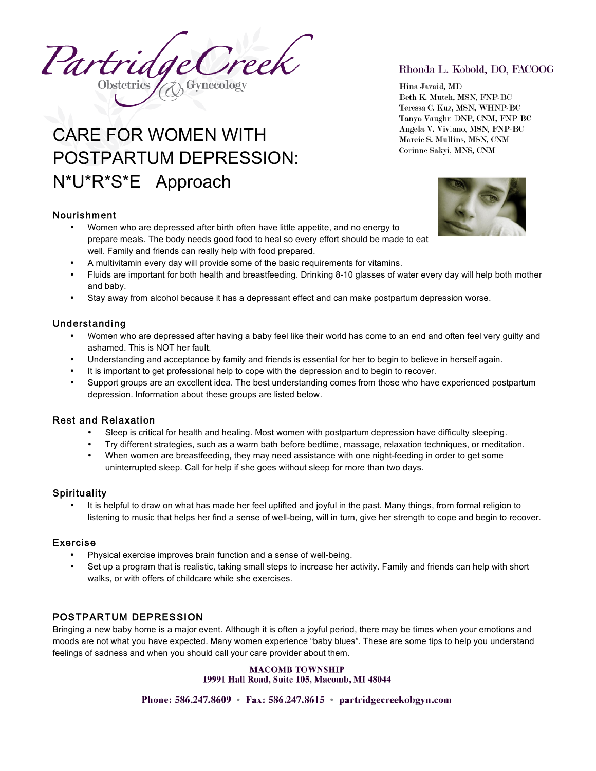Treek Partridge **Obstetrics** 

# CARE FOR WOMEN WITH POSTPARTUM DEPRESSION: N\*U\*R\*S\*E Approach

## Nourishment

- Women who are depressed after birth often have little appetite, and no energy to prepare meals. The body needs good food to heal so every effort should be made to eat well. Family and friends can really help with food prepared.
- A multivitamin every day will provide some of the basic requirements for vitamins.
- Fluids are important for both health and breastfeeding. Drinking 8-10 glasses of water every day will help both mother and baby.
- Stay away from alcohol because it has a depressant effect and can make postpartum depression worse.

## Understanding

- Women who are depressed after having a baby feel like their world has come to an end and often feel very guilty and ashamed. This is NOT her fault.
- Understanding and acceptance by family and friends is essential for her to begin to believe in herself again.
- It is important to get professional help to cope with the depression and to begin to recover.
- Support groups are an excellent idea. The best understanding comes from those who have experienced postpartum depression. Information about these groups are listed below.

## Rest and Relaxation

- Sleep is critical for health and healing. Most women with postpartum depression have difficulty sleeping.
- Try different strategies, such as a warm bath before bedtime, massage, relaxation techniques, or meditation.
- When women are breastfeeding, they may need assistance with one night-feeding in order to get some uninterrupted sleep. Call for help if she goes without sleep for more than two days.

## **Spirituality**

• It is helpful to draw on what has made her feel uplifted and joyful in the past. Many things, from formal religion to listening to music that helps her find a sense of well-being, will in turn, give her strength to cope and begin to recover.

## Exercise

- Physical exercise improves brain function and a sense of well-being.
- Set up a program that is realistic, taking small steps to increase her activity. Family and friends can help with short walks, or with offers of childcare while she exercises.

## POSTPARTUM DEPRESSION

Bringing a new baby home is a major event. Although it is often a joyful period, there may be times when your emotions and moods are not what you have expected. Many women experience "baby blues". These are some tips to help you understand feelings of sadness and when you should call your care provider about them.

> **MACOMB TOWNSHIP** 19991 Hall Road, Suite 105, Macomb, MI 48044

Phone: 586.247.8609 • Fax: 586.247.8615 • partridgecreekobgyn.com

## Rhonda L. Kobold, DO, FACOOG

Hina Javaid, MD Beth K. Mutch, MSN, FNP-BC Teressa C. Kuz, MSN, WHNP-BC Tanya Vaughn DNP, CNM, FNP-BC Angela V. Viviano, MSN, FNP-BC Marcie S. Mullins, MSN, CNM Corinne Sakyi, MNS, CNM